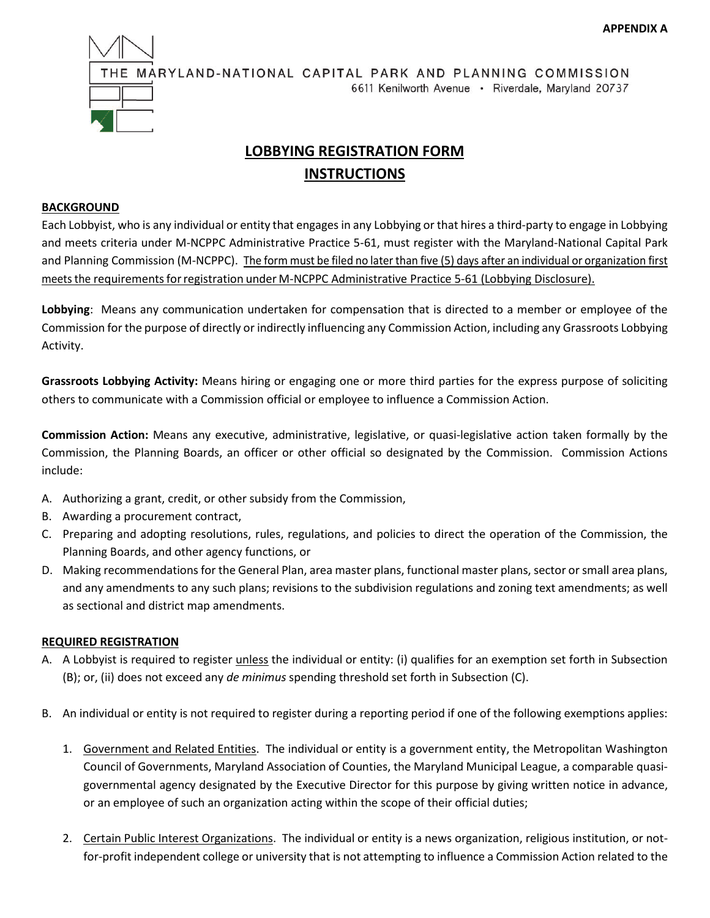

# **LOBBYING REGISTRATION FORM INSTRUCTIONS**

# **BACKGROUND**

Each Lobbyist, who is any individual or entity that engages in any Lobbying or that hires a third-party to engage in Lobbying and meets criteria under M-NCPPC Administrative Practice 5-61, must register with the Maryland-National Capital Park and Planning Commission (M-NCPPC). The form must be filed no later than five (5) days after an individual or organization first meets the requirements for registration under M-NCPPC Administrative Practice 5-61 (Lobbying Disclosure).

**Lobbying**: Means any communication undertaken for compensation that is directed to a member or employee of the Commission for the purpose of directly or indirectly influencing any Commission Action, including any Grassroots Lobbying Activity.

**Grassroots Lobbying Activity:** Means hiring or engaging one or more third parties for the express purpose of soliciting others to communicate with a Commission official or employee to influence a Commission Action.

**Commission Action:** Means any executive, administrative, legislative, or quasi-legislative action taken formally by the Commission, the Planning Boards, an officer or other official so designated by the Commission. Commission Actions include:

- A. Authorizing a grant, credit, or other subsidy from the Commission,
- B. Awarding a procurement contract,
- C. Preparing and adopting resolutions, rules, regulations, and policies to direct the operation of the Commission, the Planning Boards, and other agency functions, or
- D. Making recommendations for the General Plan, area master plans, functional master plans, sector or small area plans, and any amendments to any such plans; revisions to the subdivision regulations and zoning text amendments; as well as sectional and district map amendments.

### **REQUIRED REGISTRATION**

- A. A Lobbyist is required to register unless the individual or entity: (i) qualifies for an exemption set forth in Subsection (B); or, (ii) does not exceed any *de minimus* spending threshold set forth in Subsection (C).
- B. An individual or entity is not required to register during a reporting period if one of the following exemptions applies:
	- 1. Government and Related Entities. The individual or entity is a government entity, the Metropolitan Washington Council of Governments, Maryland Association of Counties, the Maryland Municipal League, a comparable quasigovernmental agency designated by the Executive Director for this purpose by giving written notice in advance, or an employee of such an organization acting within the scope of their official duties;
	- 2. Certain Public Interest Organizations. The individual or entity is a news organization, religious institution, or notfor-profit independent college or university that is not attempting to influence a Commission Action related to the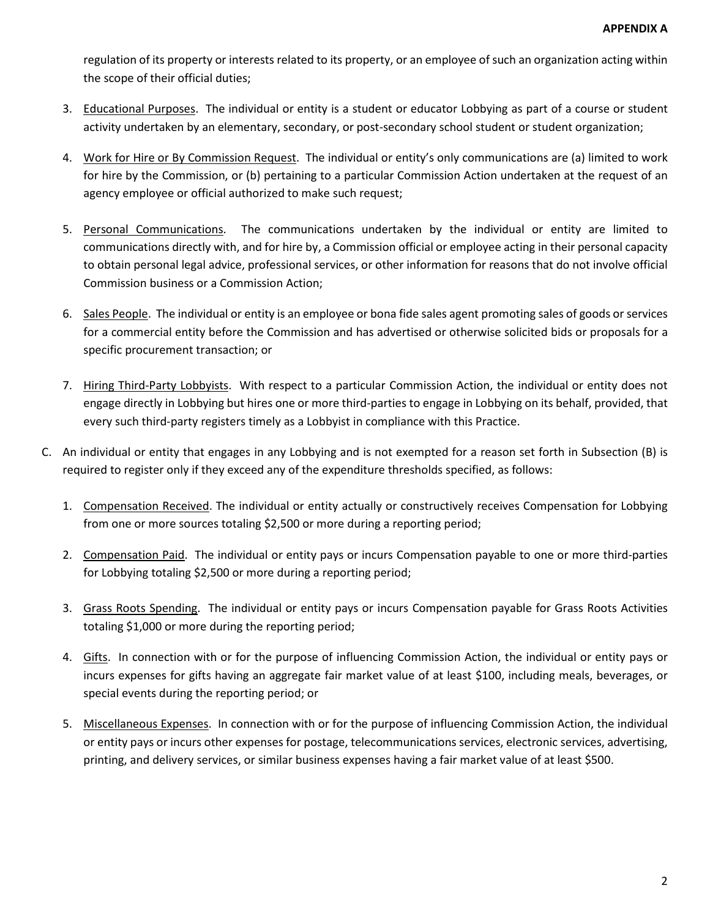regulation of its property or interests related to its property, or an employee of such an organization acting within the scope of their official duties;

- 3. Educational Purposes. The individual or entity is a student or educator Lobbying as part of a course or student activity undertaken by an elementary, secondary, or post-secondary school student or student organization;
- 4. Work for Hire or By Commission Request. The individual or entity's only communications are (a) limited to work for hire by the Commission, or (b) pertaining to a particular Commission Action undertaken at the request of an agency employee or official authorized to make such request;
- 5. Personal Communications. The communications undertaken by the individual or entity are limited to communications directly with, and for hire by, a Commission official or employee acting in their personal capacity to obtain personal legal advice, professional services, or other information for reasons that do not involve official Commission business or a Commission Action;
- 6. Sales People. The individual or entity is an employee or bona fide sales agent promoting sales of goods or services for a commercial entity before the Commission and has advertised or otherwise solicited bids or proposals for a specific procurement transaction; or
- 7. Hiring Third-Party Lobbyists. With respect to a particular Commission Action, the individual or entity does not engage directly in Lobbying but hires one or more third-parties to engage in Lobbying on its behalf, provided, that every such third-party registers timely as a Lobbyist in compliance with this Practice.
- C. An individual or entity that engages in any Lobbying and is not exempted for a reason set forth in Subsection (B) is required to register only if they exceed any of the expenditure thresholds specified, as follows:
	- 1. Compensation Received. The individual or entity actually or constructively receives Compensation for Lobbying from one or more sources totaling \$2,500 or more during a reporting period;
	- 2. Compensation Paid. The individual or entity pays or incurs Compensation payable to one or more third-parties for Lobbying totaling \$2,500 or more during a reporting period;
	- 3. Grass Roots Spending. The individual or entity pays or incurs Compensation payable for Grass Roots Activities totaling \$1,000 or more during the reporting period;
	- 4. Gifts. In connection with or for the purpose of influencing Commission Action, the individual or entity pays or incurs expenses for gifts having an aggregate fair market value of at least \$100, including meals, beverages, or special events during the reporting period; or
	- 5. Miscellaneous Expenses. In connection with or for the purpose of influencing Commission Action, the individual or entity pays or incurs other expenses for postage, telecommunications services, electronic services, advertising, printing, and delivery services, or similar business expenses having a fair market value of at least \$500.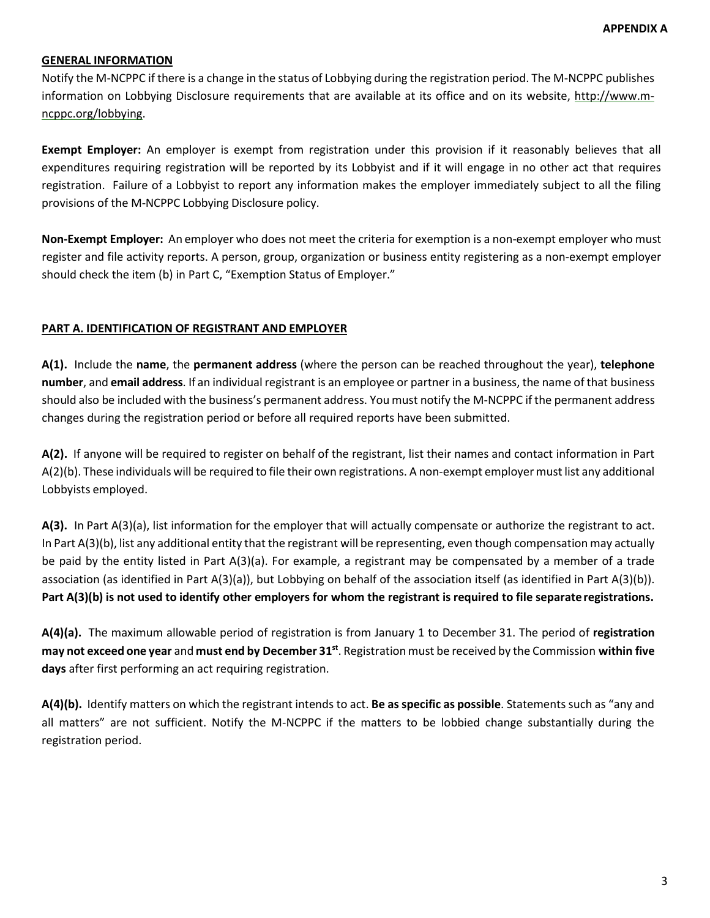# **GENERAL INFORMATION**

Notify the M-NCPPC if there is a change in the status of Lobbying during the registration period. The M-NCPPC publishes information on Lobbying Disclosure requirements that are available at its office and on its website, http://www.m[ncppc.org/lobbying.](http://www.m-ncppc.org/XXX) 

**Exempt Employer:** An employer is exempt from registration under this provision if it reasonably believes that all expenditures requiring registration will be reported by its Lobbyist and if it will engage in no other act that requires registration. Failure of a Lobbyist to report any information makes the employer immediately subject to all the filing provisions of the M-NCPPC Lobbying Disclosure policy.

**Non-Exempt Employer:** An employer who does not meet the criteria for exemption is a non-exempt employer who must register and file activity reports. A person, group, organization or business entity registering as a non-exempt employer should check the item (b) in Part C, "Exemption Status of Employer."

### **PART A. IDENTIFICATION OF REGISTRANT AND EMPLOYER**

**A(1).** Include the **name**, the **permanent address** (where the person can be reached throughout the year), **telephone number**, and **email address**. If an individualregistrant is an employee or partner in a business, the name of that business should also be included with the business's permanent address. You must notify the M-NCPPC if the permanent address changes during the registration period or before all required reports have been submitted.

**A(2).** If anyone will be required to register on behalf of the registrant, list their names and contact information in Part A(2)(b). These individuals will be required to file their own registrations. A non-exempt employermust list any additional Lobbyists employed.

**A(3).** In Part A(3)(a), list information for the employer that will actually compensate or authorize the registrant to act. In Part A(3)(b), list any additional entity that the registrant will be representing, even though compensation may actually be paid by the entity listed in Part A(3)(a). For example, a registrant may be compensated by a member of a trade association (as identified in Part A(3)(a)), but Lobbying on behalf of the association itself (as identified in Part A(3)(b)). **Part A(3)(b) is not used to identify other employers for whom the registrant is required to file separate registrations.**

**A(4)(a).** The maximum allowable period of registration is from January 1 to December 31. The period of **registration may not exceed one year** and **must end by December 31st**. Registrationmust be received by the Commission **within five days** after first performing an act requiring registration.

**A(4)(b).** Identify matters on which the registrant intends to act. **Be as specific as possible**. Statements such as "any and all matters" are not sufficient. Notify the M-NCPPC if the matters to be lobbied change substantially during the registration period.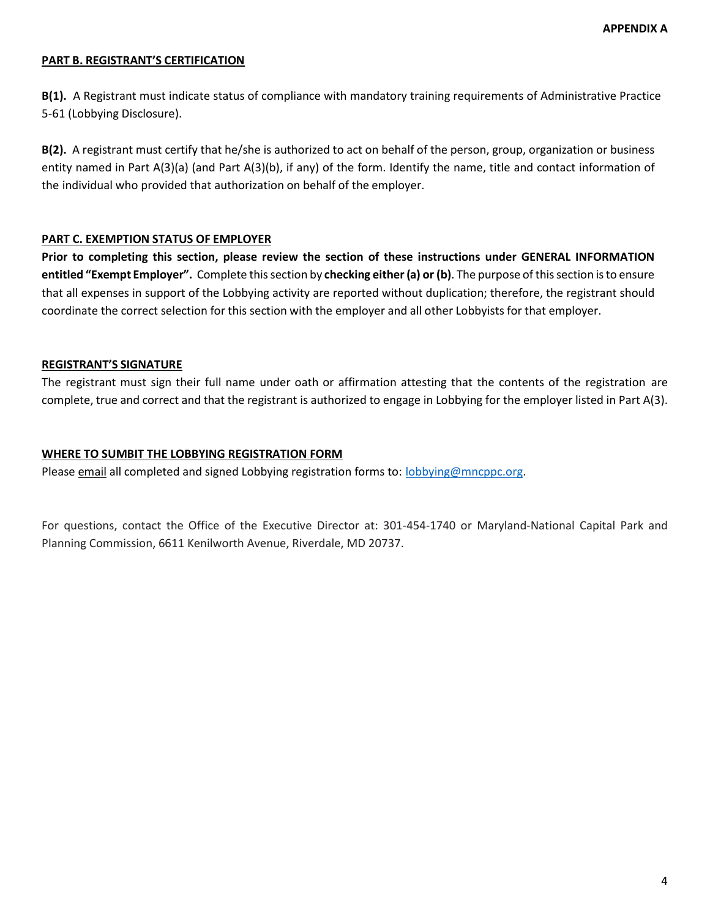# **PART B. REGISTRANT'S CERTIFICATION**

**B(1).** A Registrant must indicate status of compliance with mandatory training requirements of Administrative Practice 5-61 (Lobbying Disclosure).

**B(2).** A registrant must certify that he/she is authorized to act on behalf of the person, group, organization or business entity named in Part A(3)(a) (and Part A(3)(b), if any) of the form. Identify the name, title and contact information of the individual who provided that authorization on behalf of the employer.

### **PART C. EXEMPTION STATUS OF EMPLOYER**

**Prior to completing this section, please review the section of these instructions under GENERAL INFORMATION entitled "Exempt Employer".** Complete thissection by **checking either (a) or (b)**. The purpose ofthissection isto ensure that all expenses in support of the Lobbying activity are reported without duplication; therefore, the registrant should coordinate the correct selection for this section with the employer and all other Lobbyists for that employer.

# **REGISTRANT'S SIGNATURE**

The registrant must sign their full name under oath or affirmation attesting that the contents of the registration are complete, true and correct and that the registrant is authorized to engage in Lobbying for the employer listed in Part A(3).

### **WHERE TO SUMBIT THE LOBBYING REGISTRATION FORM**

Please email all completed and signed Lobbying registration forms to: [lobbying@mncppc.org.](mailto:lobbying@mncppc.org)

For questions, contact the Office of the Executive Director at: 301-454-1740 or Maryland-National Capital Park and Planning Commission, 6611 Kenilworth Avenue, Riverdale, MD 20737.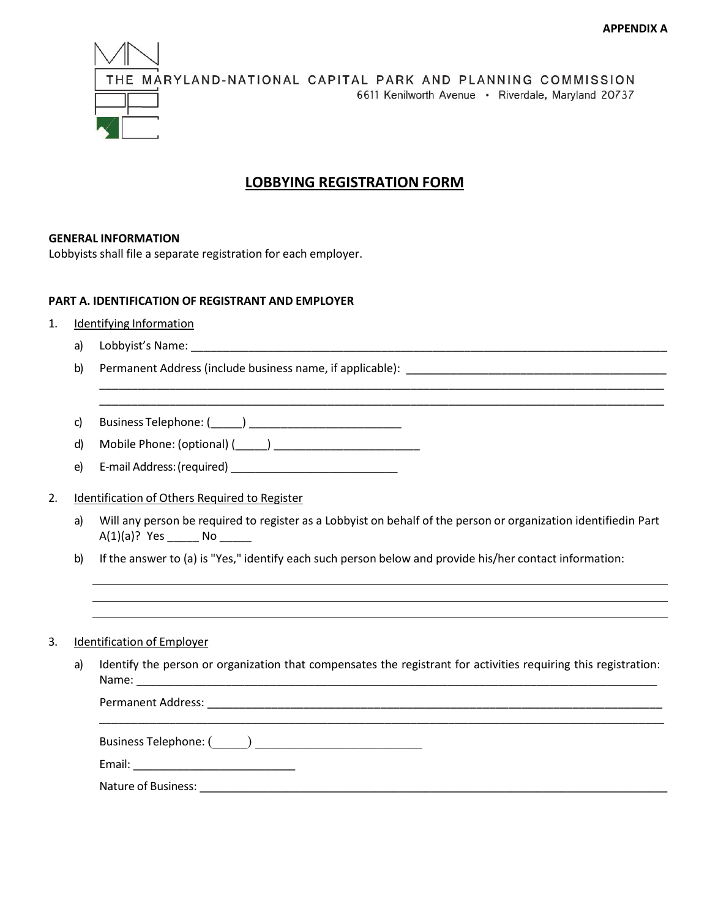

# **LOBBYING REGISTRATION FORM**

### **GENERAL INFORMATION**

Lobbyists shall file a separate registration for each employer.

### **PART A. IDENTIFICATION OF REGISTRANT AND EMPLOYER**

- 1. Identifying Information
	- a) Lobbyist's Name: \_\_\_\_\_\_\_\_\_\_\_\_\_\_\_\_\_\_\_\_\_\_\_\_\_\_\_\_\_\_\_\_\_\_\_\_\_\_\_\_\_\_\_\_\_\_\_\_\_\_\_\_\_\_\_\_\_\_\_\_\_\_\_\_\_\_\_\_\_\_\_\_\_\_\_
	- b) Permanent Address (include business name, if applicable): \_\_\_\_\_\_\_\_\_\_\_\_\_\_\_\_\_\_\_\_\_\_\_\_\_\_\_\_\_\_\_\_\_\_\_\_\_\_\_\_\_

c) Business Telephone: (\_\_\_\_\_) \_\_\_\_\_\_\_\_\_\_\_\_\_\_\_\_\_\_\_\_\_\_\_\_

- d) Mobile Phone: (optional) (\_\_\_\_\_) \_\_\_\_\_\_\_\_\_\_\_\_\_\_\_\_\_\_\_\_\_\_\_
- e) E-mail Address:(required) \_\_\_\_\_\_\_\_\_\_\_\_\_\_\_\_\_\_\_\_\_\_\_\_\_\_\_

## 2. Identification of Others Required to Register

a) Will any person be required to register as a Lobbyist on behalf of the person or organization identifiedin Part  $A(1)(a)$ ? Yes  $N$ o

\_\_\_\_\_\_\_\_\_\_\_\_\_\_\_\_\_\_\_\_\_\_\_\_\_\_\_\_\_\_\_\_\_\_\_\_\_\_\_\_\_\_\_\_\_\_\_\_\_\_\_\_\_\_\_\_\_\_\_\_\_\_\_\_\_\_\_\_\_\_\_\_\_\_\_\_\_\_\_\_\_\_\_\_\_\_\_\_\_ \_\_\_\_\_\_\_\_\_\_\_\_\_\_\_\_\_\_\_\_\_\_\_\_\_\_\_\_\_\_\_\_\_\_\_\_\_\_\_\_\_\_\_\_\_\_\_\_\_\_\_\_\_\_\_\_\_\_\_\_\_\_\_\_\_\_\_\_\_\_\_\_\_\_\_\_\_\_\_\_\_\_\_\_\_\_\_\_\_

b) If the answer to (a) is "Yes," identify each such person below and provide his/her contact information:

### 3. Identification of Employer

a) Identify the person or organization that compensates the registrant for activities requiring this registration: Name: \_\_\_\_\_\_\_\_\_\_\_\_\_\_\_\_\_\_\_\_\_\_\_\_\_\_\_\_\_\_\_\_\_\_\_\_\_\_\_\_\_\_\_\_\_\_\_\_\_\_\_\_\_\_\_\_\_\_\_\_\_\_\_\_\_\_\_\_\_\_\_\_\_\_\_\_\_\_\_\_\_\_

| Permanent Address:  |  |
|---------------------|--|
|                     |  |
|                     |  |
|                     |  |
| Nature of Business: |  |